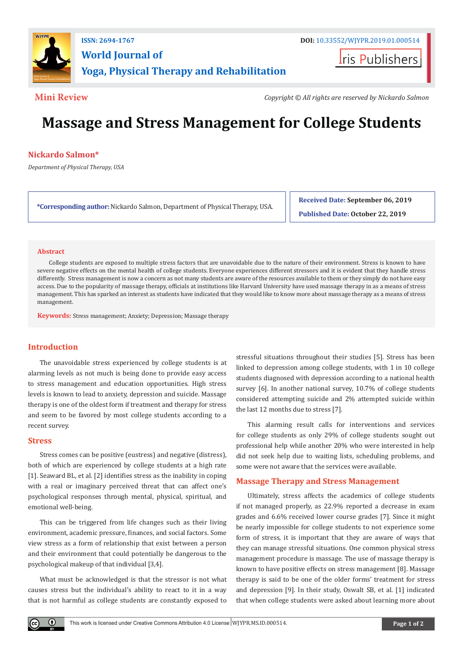

**Iris Publishers** 

**Mini Review** *Copyright © All rights are reserved by Nickardo Salmon*

# **Massage and Stress Management for College Students**

# **Nickardo Salmon\***

*Department of Physical Therapy, USA*

**\*Corresponding author:** Nickardo Salmon, Department of Physical Therapy, USA.

**Received Date: September 06, 2019**

**Published Date: October 22, 2019**

### **Abstract**

College students are exposed to multiple stress factors that are unavoidable due to the nature of their environment. Stress is known to have severe negative effects on the mental health of college students. Everyone experiences different stressors and it is evident that they handle stress differently. Stress management is now a concern as not many students are aware of the resources available to them or they simply do not have easy access. Due to the popularity of massage therapy, officials at institutions like Harvard University have used massage therapy in as a means of stress management. This has sparked an interest as students have indicated that they would like to know more about massage therapy as a means of stress management.

**Keywords:** Stress management; Anxiety; Depression; Massage therapy

# **Introduction**

The unavoidable stress experienced by college students is at alarming levels as not much is being done to provide easy access to stress management and education opportunities. High stress levels is known to lead to anxiety, depression and suicide. Massage therapy is one of the oldest form if treatment and therapy for stress and seem to be favored by most college students according to a recent survey.

### **Stress**

Stress comes can be positive (eustress) and negative (distress), both of which are experienced by college students at a high rate [1]. Seaward BL, et al. [2] identifies stress as the inability in coping with a real or imaginary perceived threat that can affect one's psychological responses through mental, physical, spiritual, and emotional well-being.

This can be triggered from life changes such as their living environment, academic pressure, finances, and social factors. Some view stress as a form of relationship that exist between a person and their environment that could potentially be dangerous to the psychological makeup of that individual [3,4].

What must be acknowledged is that the stressor is not what causes stress but the individual's ability to react to it in a way that is not harmful as college students are constantly exposed to

stressful situations throughout their studies [5]. Stress has been linked to depression among college students, with 1 in 10 college students diagnosed with depression according to a national health survey [6]. In another national survey, 10.7% of college students considered attempting suicide and 2% attempted suicide within the last 12 months due to stress [7].

This alarming result calls for interventions and services for college students as only 29% of college students sought out professional help while another 20% who were interested in help did not seek help due to waiting lists, scheduling problems, and some were not aware that the services were available.

# **Massage Therapy and Stress Management**

Ultimately, stress affects the academics of college students if not managed properly, as 22.9% reported a decrease in exam grades and 6.6% received lower course grades [7]. Since it might be nearly impossible for college students to not experience some form of stress, it is important that they are aware of ways that they can manage stressful situations. One common physical stress management procedure is massage. The use of massage therapy is known to have positive effects on stress management [8]. Massage therapy is said to be one of the older forms' treatment for stress and depression [9]. In their study, Oswalt SB, et al. [1] indicated that when college students were asked about learning more about